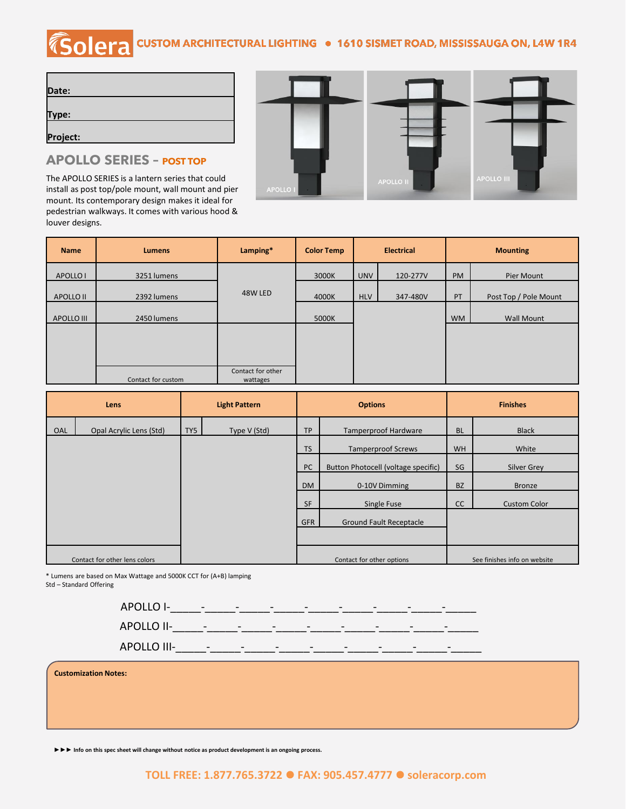## *Solera* **CUSTOM ARCHITECTURAL LIGHTING · 1610 SISMET ROAD, MISSISSAUGA ON, L4W 1R4**

| Date:    |  |  |
|----------|--|--|
|          |  |  |
| Type:    |  |  |
|          |  |  |
| Project: |  |  |

## **APOLLO SERIES – POST TOP**

The APOLLO SERIES is a lantern series that could install as post top/pole mount, wall mount and pier mount. Its contemporary design makes it ideal for pedestrian walkways. It comes with various hood & louver designs.



| <b>Name</b>         | <b>Lumens</b>      | Lamping*                      | <b>Color Temp</b> | <b>Electrical</b> |          | <b>Mounting</b> |                       |
|---------------------|--------------------|-------------------------------|-------------------|-------------------|----------|-----------------|-----------------------|
| APOLLO <sub>1</sub> | 3251 lumens        |                               | 3000K             | <b>UNV</b>        | 120-277V | <b>PM</b>       | Pier Mount            |
| APOLLO II           | 2392 lumens        | 48W LED                       | 4000K             | <b>HLV</b>        | 347-480V | PT              | Post Top / Pole Mount |
| APOLLO III          | 2450 lumens        |                               | 5000K             |                   |          | <b>WM</b>       | <b>Wall Mount</b>     |
|                     |                    |                               |                   |                   |          |                 |                       |
|                     |                    |                               |                   |                   |          |                 |                       |
|                     | Contact for custom | Contact for other<br>wattages |                   |                   |          |                 |                       |

| <b>Lens</b> |                               | <b>Light Pattern</b> | <b>Options</b> |                           | <b>Finishes</b>                     |                              |                     |
|-------------|-------------------------------|----------------------|----------------|---------------------------|-------------------------------------|------------------------------|---------------------|
| OAL         | Opal Acrylic Lens (Std)       | TY5                  | Type V (Std)   | <b>TP</b>                 | <b>Tamperproof Hardware</b>         | <b>BL</b>                    | <b>Black</b>        |
|             |                               |                      |                | <b>TS</b>                 | <b>Tamperproof Screws</b>           | <b>WH</b>                    | White               |
|             |                               |                      |                | <b>PC</b>                 | Button Photocell (voltage specific) | SG                           | Silver Grey         |
|             |                               |                      |                | <b>DM</b>                 | 0-10V Dimming                       | <b>BZ</b>                    | <b>Bronze</b>       |
|             |                               |                      |                | <b>SF</b>                 | Single Fuse                         | cc                           | <b>Custom Color</b> |
|             |                               |                      |                | <b>GFR</b>                | <b>Ground Fault Receptacle</b>      |                              |                     |
|             |                               |                      |                |                           |                                     |                              |                     |
|             | Contact for other lens colors |                      |                | Contact for other options |                                     | See finishes info on website |                     |

\* Lumens are based on Max Wattage and 5000K CCT for (A+B) lamping

Std – Standard Offering



**Customization Notes:**

**►►► Info on this spec sheet will change without notice as product development is an ongoing process.**